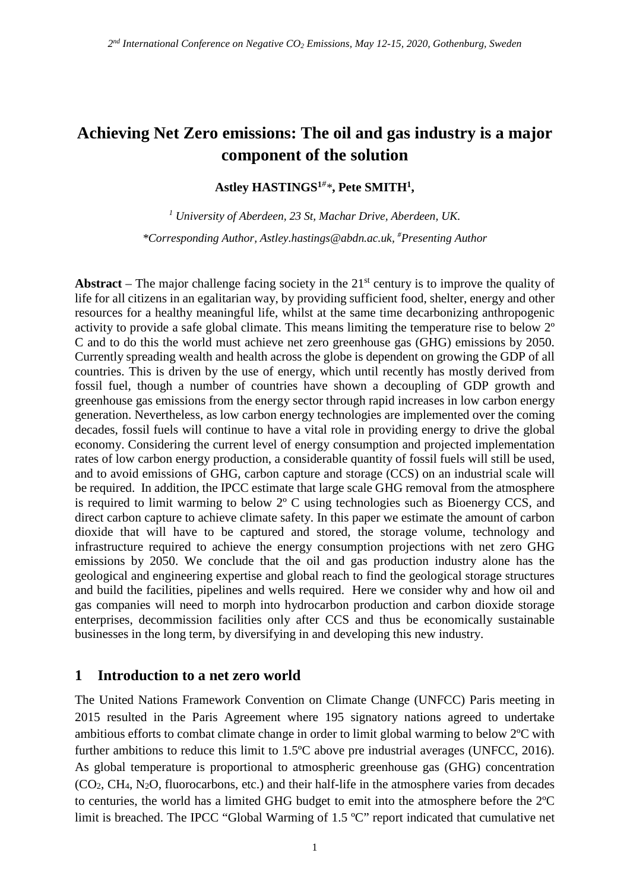# **Achieving Net Zero emissions: The oil and gas industry is a major component of the solution**

**Astley HASTINGS1***# \****, Pete SMITH1,**

*<sup>1</sup> University of Aberdeen, 23 St, Machar Drive, Aberdeen, UK. \*Corresponding Author, Astley.hastings@abdn.ac.uk, # Presenting Author*

**Abstract** – The major challenge facing society in the  $21<sup>st</sup>$  century is to improve the quality of life for all citizens in an egalitarian way, by providing sufficient food, shelter, energy and other resources for a healthy meaningful life, whilst at the same time decarbonizing anthropogenic activity to provide a safe global climate. This means limiting the temperature rise to below 2º C and to do this the world must achieve net zero greenhouse gas (GHG) emissions by 2050. Currently spreading wealth and health across the globe is dependent on growing the GDP of all countries. This is driven by the use of energy, which until recently has mostly derived from fossil fuel, though a number of countries have shown a decoupling of GDP growth and greenhouse gas emissions from the energy sector through rapid increases in low carbon energy generation. Nevertheless, as low carbon energy technologies are implemented over the coming decades, fossil fuels will continue to have a vital role in providing energy to drive the global economy. Considering the current level of energy consumption and projected implementation rates of low carbon energy production, a considerable quantity of fossil fuels will still be used, and to avoid emissions of GHG, carbon capture and storage (CCS) on an industrial scale will be required. In addition, the IPCC estimate that large scale GHG removal from the atmosphere is required to limit warming to below 2º C using technologies such as Bioenergy CCS, and direct carbon capture to achieve climate safety. In this paper we estimate the amount of carbon dioxide that will have to be captured and stored, the storage volume, technology and infrastructure required to achieve the energy consumption projections with net zero GHG emissions by 2050. We conclude that the oil and gas production industry alone has the geological and engineering expertise and global reach to find the geological storage structures and build the facilities, pipelines and wells required. Here we consider why and how oil and gas companies will need to morph into hydrocarbon production and carbon dioxide storage enterprises, decommission facilities only after CCS and thus be economically sustainable businesses in the long term, by diversifying in and developing this new industry.

#### **1 Introduction to a net zero world**

The United Nations Framework Convention on Climate Change (UNFCC) Paris meeting in 2015 resulted in the Paris Agreement where 195 signatory nations agreed to undertake ambitious efforts to combat climate change in order to limit global warming to below 2ºC with further ambitions to reduce this limit to 1.5ºC above pre industrial averages (UNFCC, 2016). As global temperature is proportional to atmospheric greenhouse gas (GHG) concentration (CO2, CH4, N2O, fluorocarbons, etc.) and their half-life in the atmosphere varies from decades to centuries, the world has a limited GHG budget to emit into the atmosphere before the 2ºC limit is breached. The IPCC "Global Warming of 1.5 ºC" report indicated that cumulative net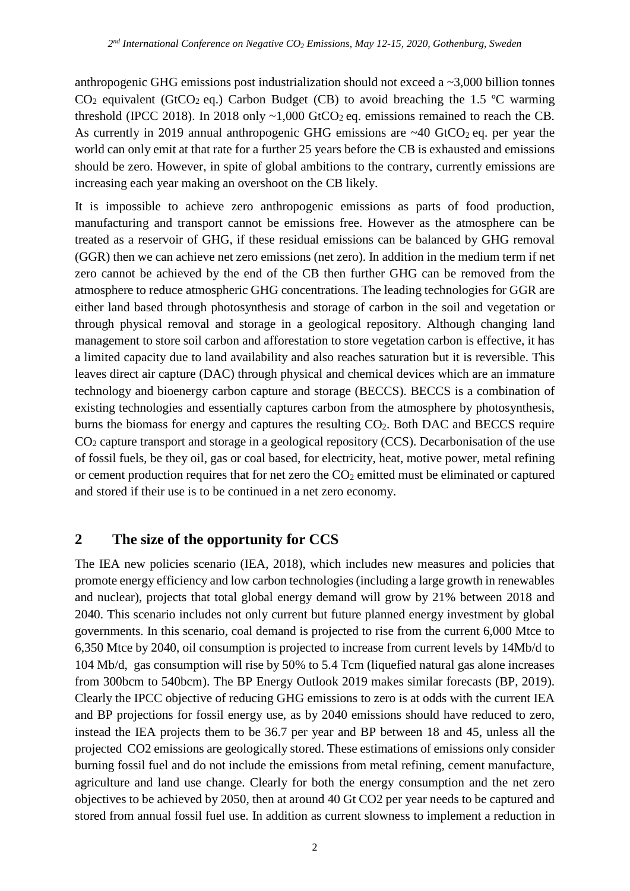anthropogenic GHG emissions post industrialization should not exceed a ~3,000 billion tonnes  $CO<sub>2</sub>$  equivalent (GtCO<sub>2</sub> eq.) Carbon Budget (CB) to avoid breaching the 1.5 °C warming threshold (IPCC 2018). In 2018 only  $\sim 1,000$  GtCO<sub>2</sub> eq. emissions remained to reach the CB. As currently in 2019 annual anthropogenic GHG emissions are  $~40~\text{GtCO}_2$  eq. per year the world can only emit at that rate for a further 25 years before the CB is exhausted and emissions should be zero. However, in spite of global ambitions to the contrary, currently emissions are increasing each year making an overshoot on the CB likely.

It is impossible to achieve zero anthropogenic emissions as parts of food production, manufacturing and transport cannot be emissions free. However as the atmosphere can be treated as a reservoir of GHG, if these residual emissions can be balanced by GHG removal (GGR) then we can achieve net zero emissions (net zero). In addition in the medium term if net zero cannot be achieved by the end of the CB then further GHG can be removed from the atmosphere to reduce atmospheric GHG concentrations. The leading technologies for GGR are either land based through photosynthesis and storage of carbon in the soil and vegetation or through physical removal and storage in a geological repository. Although changing land management to store soil carbon and afforestation to store vegetation carbon is effective, it has a limited capacity due to land availability and also reaches saturation but it is reversible. This leaves direct air capture (DAC) through physical and chemical devices which are an immature technology and bioenergy carbon capture and storage (BECCS). BECCS is a combination of existing technologies and essentially captures carbon from the atmosphere by photosynthesis, burns the biomass for energy and captures the resulting CO<sub>2</sub>. Both DAC and BECCS require CO2 capture transport and storage in a geological repository (CCS). Decarbonisation of the use of fossil fuels, be they oil, gas or coal based, for electricity, heat, motive power, metal refining or cement production requires that for net zero the  $CO<sub>2</sub>$  emitted must be eliminated or captured and stored if their use is to be continued in a net zero economy.

# **2 The size of the opportunity for CCS**

The IEA new policies scenario (IEA, 2018), which includes new measures and policies that promote energy efficiency and low carbon technologies (including a large growth in renewables and nuclear), projects that total global energy demand will grow by 21% between 2018 and 2040. This scenario includes not only current but future planned energy investment by global governments. In this scenario, coal demand is projected to rise from the current 6,000 Mtce to 6,350 Mtce by 2040, oil consumption is projected to increase from current levels by 14Mb/d to 104 Mb/d, gas consumption will rise by 50% to 5.4 Tcm (liquefied natural gas alone increases from 300bcm to 540bcm). The BP Energy Outlook 2019 makes similar forecasts (BP, 2019). Clearly the IPCC objective of reducing GHG emissions to zero is at odds with the current IEA and BP projections for fossil energy use, as by 2040 emissions should have reduced to zero, instead the IEA projects them to be 36.7 per year and BP between 18 and 45, unless all the projected CO2 emissions are geologically stored. These estimations of emissions only consider burning fossil fuel and do not include the emissions from metal refining, cement manufacture, agriculture and land use change. Clearly for both the energy consumption and the net zero objectives to be achieved by 2050, then at around 40 Gt CO2 per year needs to be captured and stored from annual fossil fuel use. In addition as current slowness to implement a reduction in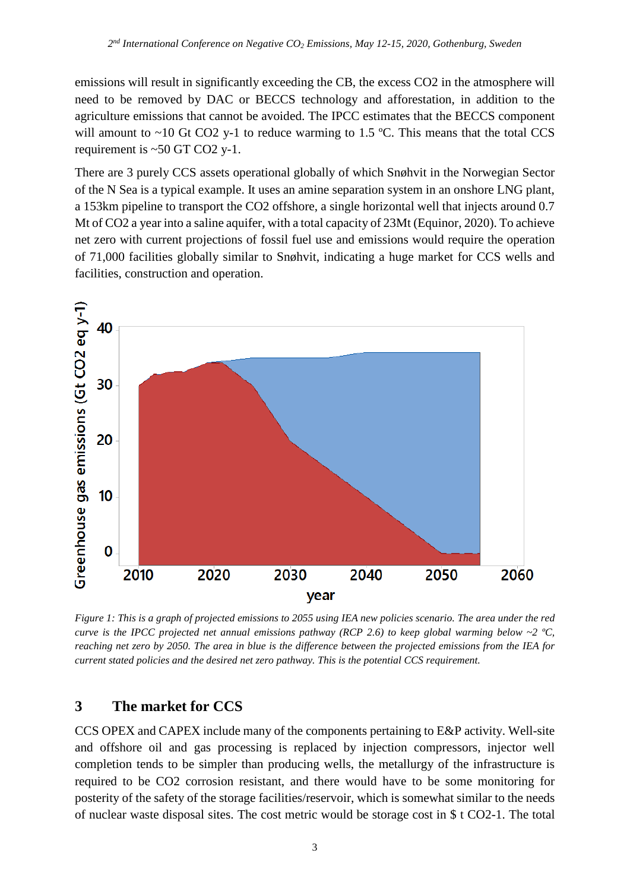emissions will result in significantly exceeding the CB, the excess CO2 in the atmosphere will need to be removed by DAC or BECCS technology and afforestation, in addition to the agriculture emissions that cannot be avoided. The IPCC estimates that the BECCS component will amount to  $\sim$ 10 Gt CO2 y-1 to reduce warming to 1.5 °C. This means that the total CCS requirement is ~50 GT CO2 y-1.

There are 3 purely CCS assets operational globally of which Snøhvit in the Norwegian Sector of the N Sea is a typical example. It uses an amine separation system in an onshore LNG plant, a 153km pipeline to transport the CO2 offshore, a single horizontal well that injects around 0.7 Mt of CO2 a year into a saline aquifer, with a total capacity of 23Mt (Equinor, 2020). To achieve net zero with current projections of fossil fuel use and emissions would require the operation of 71,000 facilities globally similar to Snøhvit, indicating a huge market for CCS wells and facilities, construction and operation.



*Figure 1: This is a graph of projected emissions to 2055 using IEA new policies scenario. The area under the red curve is the IPCC projected net annual emissions pathway (RCP 2.6) to keep global warming below ~2 ºC, reaching net zero by 2050. The area in blue is the difference between the projected emissions from the IEA for current stated policies and the desired net zero pathway. This is the potential CCS requirement.*

# **3 The market for CCS**

CCS OPEX and CAPEX include many of the components pertaining to E&P activity. Well-site and offshore oil and gas processing is replaced by injection compressors, injector well completion tends to be simpler than producing wells, the metallurgy of the infrastructure is required to be CO2 corrosion resistant, and there would have to be some monitoring for posterity of the safety of the storage facilities/reservoir, which is somewhat similar to the needs of nuclear waste disposal sites. The cost metric would be storage cost in \$ t CO2-1. The total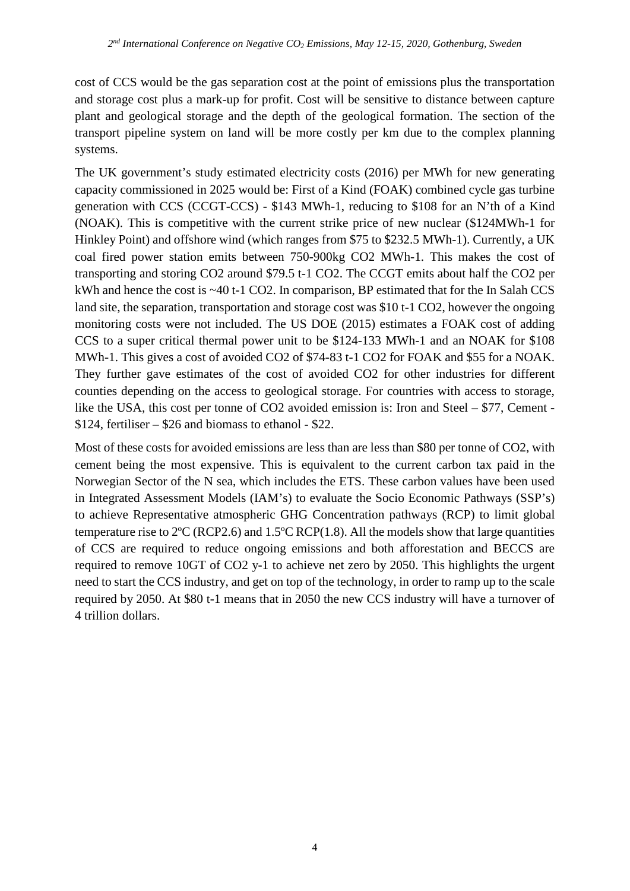cost of CCS would be the gas separation cost at the point of emissions plus the transportation and storage cost plus a mark-up for profit. Cost will be sensitive to distance between capture plant and geological storage and the depth of the geological formation. The section of the transport pipeline system on land will be more costly per km due to the complex planning systems.

The UK government's study estimated electricity costs (2016) per MWh for new generating capacity commissioned in 2025 would be: First of a Kind (FOAK) combined cycle gas turbine generation with CCS (CCGT-CCS) - \$143 MWh-1, reducing to \$108 for an N'th of a Kind (NOAK). This is competitive with the current strike price of new nuclear (\$124MWh-1 for Hinkley Point) and offshore wind (which ranges from \$75 to \$232.5 MWh-1). Currently, a UK coal fired power station emits between 750-900kg CO2 MWh-1. This makes the cost of transporting and storing CO2 around \$79.5 t-1 CO2. The CCGT emits about half the CO2 per kWh and hence the cost is ~40 t-1 CO2. In comparison, BP estimated that for the In Salah CCS land site, the separation, transportation and storage cost was \$10 t-1 CO2, however the ongoing monitoring costs were not included. The US DOE (2015) estimates a FOAK cost of adding CCS to a super critical thermal power unit to be \$124-133 MWh-1 and an NOAK for \$108 MWh-1. This gives a cost of avoided CO2 of \$74-83 t-1 CO2 for FOAK and \$55 for a NOAK. They further gave estimates of the cost of avoided CO2 for other industries for different counties depending on the access to geological storage. For countries with access to storage, like the USA, this cost per tonne of CO2 avoided emission is: Iron and Steel – \$77, Cement -\$124, fertiliser – \$26 and biomass to ethanol - \$22.

Most of these costs for avoided emissions are less than are less than \$80 per tonne of CO2, with cement being the most expensive. This is equivalent to the current carbon tax paid in the Norwegian Sector of the N sea, which includes the ETS. These carbon values have been used in Integrated Assessment Models (IAM's) to evaluate the Socio Economic Pathways (SSP's) to achieve Representative atmospheric GHG Concentration pathways (RCP) to limit global temperature rise to  $2^{\circ}C$  (RCP2.6) and 1.5 $^{\circ}C$  RCP(1.8). All the models show that large quantities of CCS are required to reduce ongoing emissions and both afforestation and BECCS are required to remove 10GT of CO2 y-1 to achieve net zero by 2050. This highlights the urgent need to start the CCS industry, and get on top of the technology, in order to ramp up to the scale required by 2050. At \$80 t-1 means that in 2050 the new CCS industry will have a turnover of 4 trillion dollars.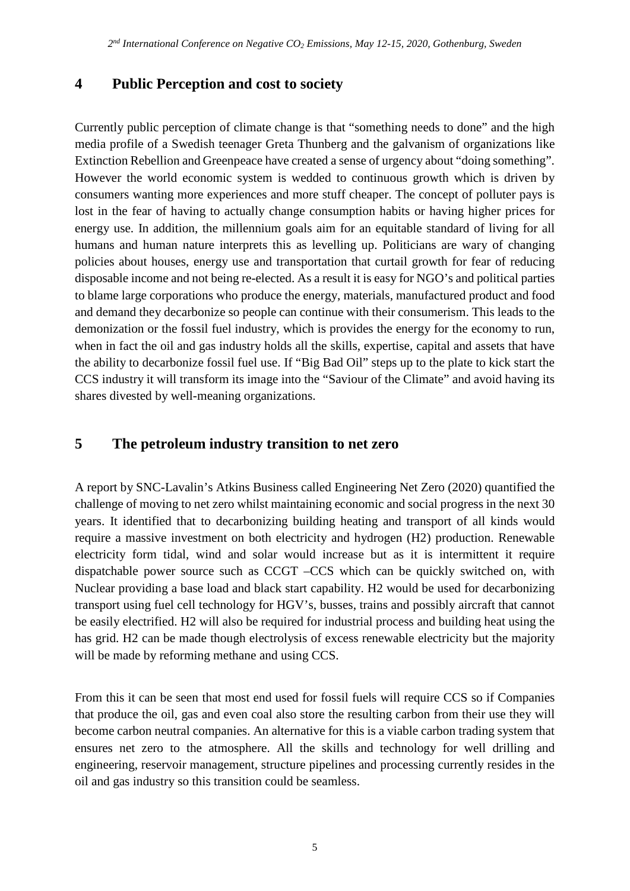### **4 Public Perception and cost to society**

Currently public perception of climate change is that "something needs to done" and the high media profile of a Swedish teenager Greta Thunberg and the galvanism of organizations like Extinction Rebellion and Greenpeace have created a sense of urgency about "doing something". However the world economic system is wedded to continuous growth which is driven by consumers wanting more experiences and more stuff cheaper. The concept of polluter pays is lost in the fear of having to actually change consumption habits or having higher prices for energy use. In addition, the millennium goals aim for an equitable standard of living for all humans and human nature interprets this as levelling up. Politicians are wary of changing policies about houses, energy use and transportation that curtail growth for fear of reducing disposable income and not being re-elected. As a result it is easy for NGO's and political parties to blame large corporations who produce the energy, materials, manufactured product and food and demand they decarbonize so people can continue with their consumerism. This leads to the demonization or the fossil fuel industry, which is provides the energy for the economy to run, when in fact the oil and gas industry holds all the skills, expertise, capital and assets that have the ability to decarbonize fossil fuel use. If "Big Bad Oil" steps up to the plate to kick start the CCS industry it will transform its image into the "Saviour of the Climate" and avoid having its shares divested by well-meaning organizations.

# **5 The petroleum industry transition to net zero**

A report by SNC-Lavalin's Atkins Business called Engineering Net Zero (2020) quantified the challenge of moving to net zero whilst maintaining economic and social progress in the next 30 years. It identified that to decarbonizing building heating and transport of all kinds would require a massive investment on both electricity and hydrogen (H2) production. Renewable electricity form tidal, wind and solar would increase but as it is intermittent it require dispatchable power source such as CCGT –CCS which can be quickly switched on, with Nuclear providing a base load and black start capability. H2 would be used for decarbonizing transport using fuel cell technology for HGV's, busses, trains and possibly aircraft that cannot be easily electrified. H2 will also be required for industrial process and building heat using the has grid. H2 can be made though electrolysis of excess renewable electricity but the majority will be made by reforming methane and using CCS.

From this it can be seen that most end used for fossil fuels will require CCS so if Companies that produce the oil, gas and even coal also store the resulting carbon from their use they will become carbon neutral companies. An alternative for this is a viable carbon trading system that ensures net zero to the atmosphere. All the skills and technology for well drilling and engineering, reservoir management, structure pipelines and processing currently resides in the oil and gas industry so this transition could be seamless.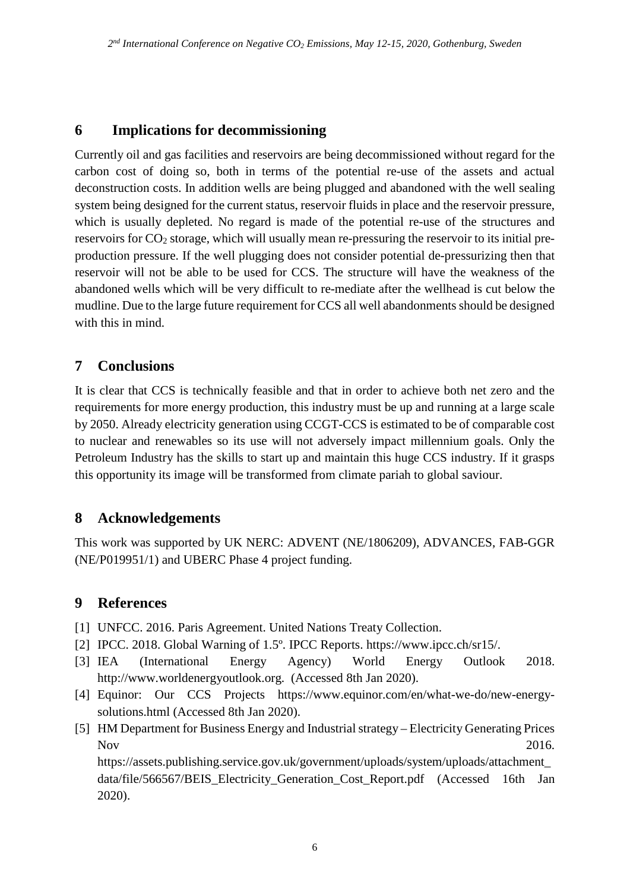### **6 Implications for decommissioning**

Currently oil and gas facilities and reservoirs are being decommissioned without regard for the carbon cost of doing so, both in terms of the potential re-use of the assets and actual deconstruction costs. In addition wells are being plugged and abandoned with the well sealing system being designed for the current status, reservoir fluids in place and the reservoir pressure, which is usually depleted. No regard is made of the potential re-use of the structures and reservoirs for  $CO<sub>2</sub>$  storage, which will usually mean re-pressuring the reservoir to its initial preproduction pressure. If the well plugging does not consider potential de-pressurizing then that reservoir will not be able to be used for CCS. The structure will have the weakness of the abandoned wells which will be very difficult to re-mediate after the wellhead is cut below the mudline. Due to the large future requirement for CCS all well abandonments should be designed with this in mind.

#### **7 Conclusions**

It is clear that CCS is technically feasible and that in order to achieve both net zero and the requirements for more energy production, this industry must be up and running at a large scale by 2050. Already electricity generation using CCGT-CCS is estimated to be of comparable cost to nuclear and renewables so its use will not adversely impact millennium goals. Only the Petroleum Industry has the skills to start up and maintain this huge CCS industry. If it grasps this opportunity its image will be transformed from climate pariah to global saviour.

#### **8 Acknowledgements**

This work was supported by UK NERC: ADVENT (NE/1806209), ADVANCES, FAB-GGR (NE/P019951/1) and UBERC Phase 4 project funding.

# **9 References**

- [1] UNFCC. 2016. Paris Agreement. United Nations Treaty Collection.
- [2] IPCC. 2018. Global Warning of 1.5º. IPCC Reports. https://www.ipcc.ch/sr15/.
- [3] IEA (International Energy Agency) World Energy Outlook 2018. http://www.worldenergyoutlook.org. (Accessed 8th Jan 2020).
- [4] Equinor: Our CCS Projects https://www.equinor.com/en/what-we-do/new-energysolutions.html (Accessed 8th Jan 2020).
- [5] HM Department for Business Energy and Industrial strategy Electricity Generating Prices Nov 2016.

https://assets.publishing.service.gov.uk/government/uploads/system/uploads/attachment\_ data/file/566567/BEIS\_Electricity\_Generation\_Cost\_Report.pdf (Accessed 16th Jan 2020).